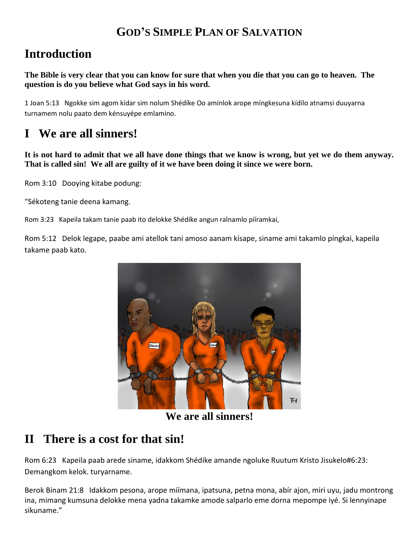## **GOD'S SIMPLE PLAN OF SALVATION**

## **Introduction**

**The Bible is very clear that you can know for sure that when you die that you can go to heaven. The question is do you believe what God says in his word.**

1 Joan 5:13 Ngokke sim agom kídar sim nolum Shédíke Oo amínlok arope míngkesuna kídílo atnamsi duuyarna turnamem nolu paato dem kénsuyépe emlamino.

# **I We are all sinners!**

**It is not hard to admit that we all have done things that we know is wrong, but yet we do them anyway. That is called sin! We all are guilty of it we have been doing it since we were born.**

Rom 3:10 Dooying kitabe podung:

"Sékoteng tanie deena kamang.

Rom 3:23 Kapeila takam tanie paab ito delokke Shédíke angun ralnamlo pííramkai,

Rom 5:12 Delok legape, paabe ami atellok tani amoso aanam kísape, siname ami takamlo píngkai, kapeila takame paab kato.



**We are all sinners!**

### **II There is a cost for that sin!**

Rom 6:23 Kapeila paab arede siname, idakkom Shédíke amande ngoluke Ruutum Kristo Jisukelo#6:23: Demangkom kelok. turyarname.

Berok Binam 21:8 Idakkom pesona, arope míímana, ipatsuna, petna mona, abír ajon, miri uyu, jadu montrong ina, mimang kumsuna delokke mena yadna takamke amode salparlo eme dorna mepompe iyé. Si lennyinape sikuname."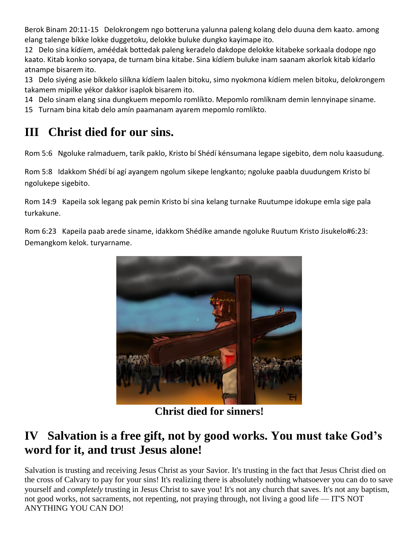Berok Binam 20:11-15 Delokrongem ngo botteruna yalunna paleng kolang delo duuna dem kaato. among elang talenge bíkke lokke duggetoku, delokke buluke dungko kayimape ito.

12 Delo sina kídíem, améédak bottedak paleng keradelo dakdope delokke kitabeke sorkaala dodope ngo kaato. Kitab konko soryapa, de turnam bina kitabe. Sina kídíem buluke inam saanam akorlok kitab kídarlo atnampe bisarem ito.

13 Delo siyéng asie bíkkelo silíkna kídíem laalen bitoku, simo nyokmona kídíem melen bitoku, delokrongem takamem mipilke yékor dakkor isaplok bisarem ito.

14 Delo sinam elang sina dungkuem mepomlo romlíkto. Mepomlo romlíknam demin lennyinape siname.

15 Turnam bina kitab delo amín paamanam ayarem mepomlo romlíkto.

# **III Christ died for our sins.**

Rom 5:6 Ngoluke ralmaduem, tarík paklo, Kristo bí Shédí kénsumana legape sigebito, dem nolu kaasudung.

Rom 5:8 Idakkom Shédí bí agí ayangem ngolum sikepe lengkanto; ngoluke paabla duudungem Kristo bí ngolukepe sigebito.

Rom 14:9 Kapeila sok legang pak pemin Kristo bí sina kelang turnake Ruutumpe idokupe emla sige pala turkakune.

Rom 6:23 Kapeila paab arede siname, idakkom Shédíke amande ngoluke Ruutum Kristo Jisukelo#6:23: Demangkom kelok. turyarname.



**Christ died for sinners!**

# **IV Salvation is a free gift, not by good works. You must take God's word for it, and trust Jesus alone!**

Salvation is trusting and receiving Jesus Christ as your Savior. It's trusting in the fact that Jesus Christ died on the cross of Calvary to pay for your sins! It's realizing there is absolutely nothing whatsoever you can do to save yourself and *completely* trusting in Jesus Christ to save you! It's not any church that saves. It's not any baptism, not good works, not sacraments, not repenting, not praying through, not living a good life — IT'S NOT ANYTHING YOU CAN DO!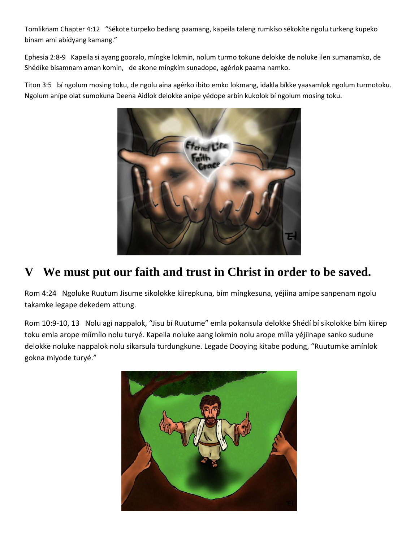Tomliknam Chapter 4:12 "Sékote turpeko bedang paamang, kapeila taleng rumkíso sékokíte ngolu turkeng kupeko binam ami abídyang kamang."

Ephesia 2:8-9 Kapeila si ayang gooralo, míngke lokmin, nolum turmo tokune delokke de noluke ilen sumanamko, de Shédíke bisamnam aman komin, de akone míngkím sunadope, agérlok paama namko.

Titon 3:5 bí ngolum mosing toku, de ngolu aina agérko ibito emko lokmang, idakla bíkke yaasamlok ngolum turmotoku. Ngolum anípe olat sumokuna Deena Aidlok delokke anípe yédope arbín kukolok bí ngolum mosing toku.



# **V We must put our faith and trust in Christ in order to be saved.**

Rom 4:24 Ngoluke Ruutum Jisume sikolokke kiirepkuna, bím míngkesuna, yéjiina amipe sanpenam ngolu takamke legape dekedem attung.

Rom 10:9-10, 13 Nolu agí nappalok, "Jisu bí Ruutume" emla pokansula delokke Shédí bí sikolokke bím kiirep toku emla arope míímílo nolu turyé. Kapeila noluke aang lokmin nolu arope mííla yéjiinape sanko sudune delokke noluke nappalok nolu sikarsula turdungkune. Legade Dooying kitabe podung, "Ruutumke amínlok gokna miyode turyé."